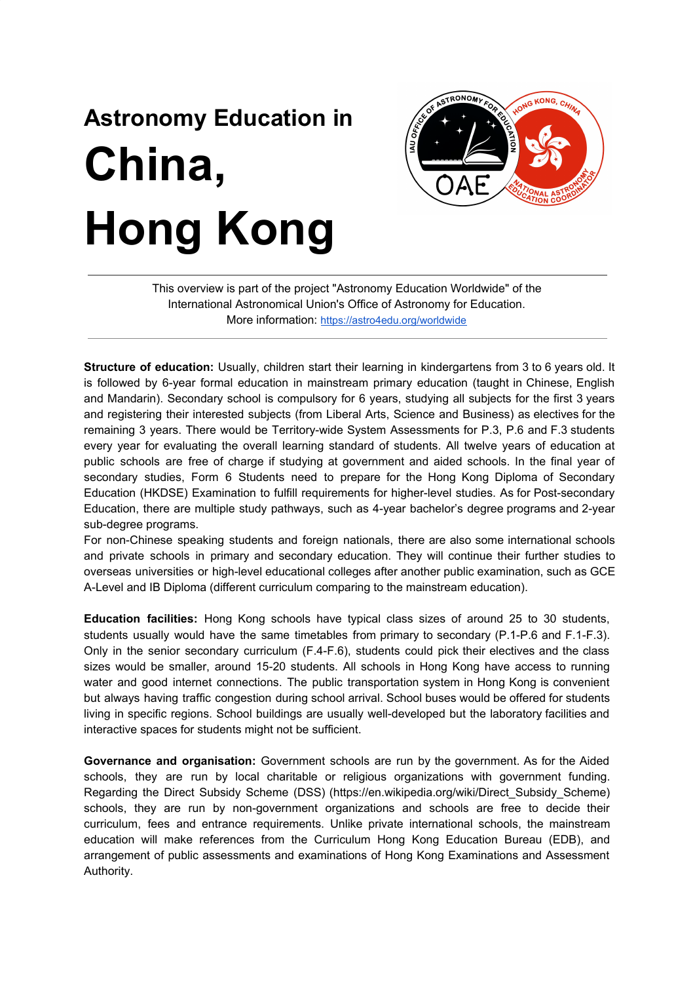## **Astronomy Education in China, Hong Kong**



This overview is part of the project "Astronomy Education Worldwide" of the International Astronomical Union's Office of Astronomy for Education. More information: <https://astro4edu.org/worldwide>

**Structure of education:** Usually, children start their learning in kindergartens from 3 to 6 years old. It is followed by 6-year formal education in mainstream primary education (taught in Chinese, English and Mandarin). Secondary school is compulsory for 6 years, studying all subjects for the first 3 years and registering their interested subjects (from Liberal Arts, Science and Business) as electives for the remaining 3 years. There would be Territory-wide System Assessments for P.3, P.6 and F.3 students every year for evaluating the overall learning standard of students. All twelve years of education at public schools are free of charge if studying at government and aided schools. In the final year of secondary studies, Form 6 Students need to prepare for the Hong Kong Diploma of Secondary Education (HKDSE) Examination to fulfill requirements for higher-level studies. As for Post-secondary Education, there are multiple study pathways, such as 4-year bachelor's degree programs and 2-year sub-degree programs.

For non-Chinese speaking students and foreign nationals, there are also some international schools and private schools in primary and secondary education. They will continue their further studies to overseas universities or high-level educational colleges after another public examination, such as GCE A-Level and IB Diploma (different curriculum comparing to the mainstream education).

**Education facilities:** Hong Kong schools have typical class sizes of around 25 to 30 students, students usually would have the same timetables from primary to secondary (P.1-P.6 and F.1-F.3). Only in the senior secondary curriculum (F.4-F.6), students could pick their electives and the class sizes would be smaller, around 15-20 students. All schools in Hong Kong have access to running water and good internet connections. The public transportation system in Hong Kong is convenient but always having traffic congestion during school arrival. School buses would be offered for students living in specific regions. School buildings are usually well-developed but the laboratory facilities and interactive spaces for students might not be sufficient.

**Governance and organisation:** Government schools are run by the government. As for the Aided schools, they are run by local charitable or religious organizations with government funding. Regarding the Direct Subsidy Scheme (DSS) (https://en.wikipedia.org/wiki/Direct\_Subsidy\_Scheme) schools, they are run by non-government organizations and schools are free to decide their curriculum, fees and entrance requirements. Unlike private international schools, the mainstream education will make references from the Curriculum Hong Kong Education Bureau (EDB), and arrangement of public assessments and examinations of Hong Kong Examinations and Assessment Authority.